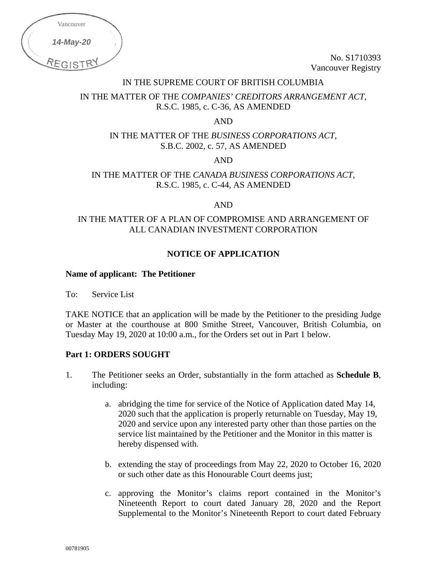| Vancouver |  |
|-----------|--|
| 14-May-20 |  |
| REGISTE   |  |

No. S1710393 Vancouver Registry

## IN THE SUPREME COURT OF BRITISH COLUMBIA

# IN THE MATTER OF THE *COMPANIES' CREDITORS ARRANGEMENT ACT,*  R.S.C. 1985, c. C-36, AS AMENDED

AND

IN THE MATTER OF THE *BUSINESS CORPORATIONS ACT*, S.B.C. 2002, c. 57, AS AMENDED

AND

# IN THE MATTER OF THE *CANADA BUSINESS CORPORATIONS ACT*, R.S.C. 1985, c. C-44, AS AMENDED

AND

# IN THE MATTER OF A PLAN OF COMPROMISE AND ARRANGEMENT OF ALL CANADIAN INVESTMENT CORPORATION

## **NOTICE OF APPLICATION**

#### **Name of applicant: The Petitioner**

To: Service List

TAKE NOTICE that an application will be made by the Petitioner to the presiding Judge or Master at the courthouse at 800 Smithe Street, Vancouver, British Columbia, on Tuesday May 19, 2020 at 10:00 a.m., for the Orders set out in Part 1 below.

## **Part 1: ORDERS SOUGHT**

- 1. The Petitioner seeks an Order, substantially in the form attached as **Schedule B**, including:
	- a. abridging the time for service of the Notice of Application dated May 14, 2020 such that the application is properly returnable on Tuesday, May 19, 2020 and service upon any interested party other than those parties on the service list maintained by the Petitioner and the Monitor in this matter is hereby dispensed with.
	- b. extending the stay of proceedings from May 22, 2020 to October 16, 2020 or such other date as this Honourable Court deems just;
	- c. approving the Monitor's claims report contained in the Monitor's Nineteenth Report to court dated January 28, 2020 and the Report Supplemental to the Monitor's Nineteenth Report to court dated February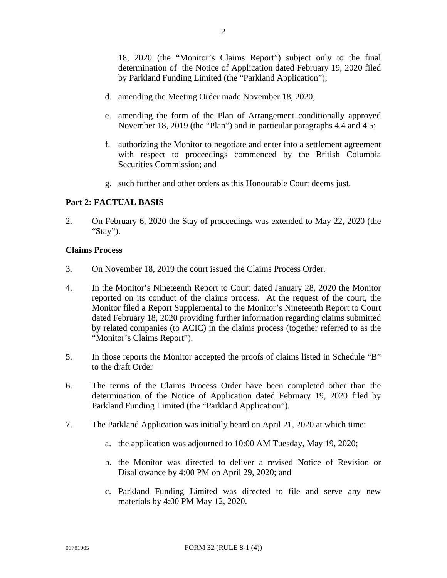18, 2020 (the "Monitor's Claims Report") subject only to the final determination of the Notice of Application dated February 19, 2020 filed by Parkland Funding Limited (the "Parkland Application");

- d. amending the Meeting Order made November 18, 2020;
- e. amending the form of the Plan of Arrangement conditionally approved November 18, 2019 (the "Plan") and in particular paragraphs 4.4 and 4.5;
- f. authorizing the Monitor to negotiate and enter into a settlement agreement with respect to proceedings commenced by the British Columbia Securities Commission; and
- g. such further and other orders as this Honourable Court deems just.

#### **Part 2: FACTUAL BASIS**

2. On February 6, 2020 the Stay of proceedings was extended to May 22, 2020 (the "Stay").

#### **Claims Process**

- 3. On November 18, 2019 the court issued the Claims Process Order.
- 4. In the Monitor's Nineteenth Report to Court dated January 28, 2020 the Monitor reported on its conduct of the claims process. At the request of the court, the Monitor filed a Report Supplemental to the Monitor's Nineteenth Report to Court dated February 18, 2020 providing further information regarding claims submitted by related companies (to ACIC) in the claims process (together referred to as the "Monitor's Claims Report").
- 5. In those reports the Monitor accepted the proofs of claims listed in Schedule "B" to the draft Order
- 6. The terms of the Claims Process Order have been completed other than the determination of the Notice of Application dated February 19, 2020 filed by Parkland Funding Limited (the "Parkland Application").
- 7. The Parkland Application was initially heard on April 21, 2020 at which time:
	- a. the application was adjourned to 10:00 AM Tuesday, May 19, 2020;
	- b. the Monitor was directed to deliver a revised Notice of Revision or Disallowance by 4:00 PM on April 29, 2020; and
	- c. Parkland Funding Limited was directed to file and serve any new materials by 4:00 PM May 12, 2020.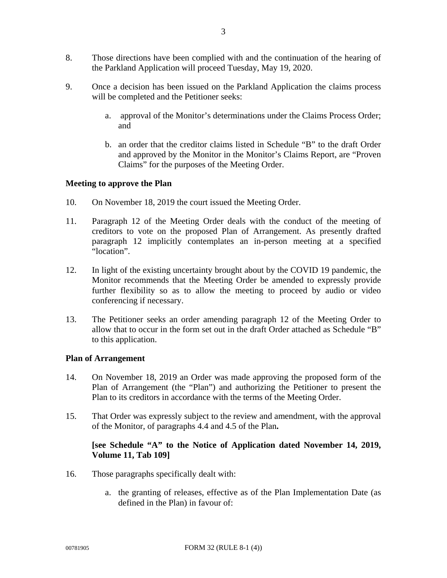- 9. Once a decision has been issued on the Parkland Application the claims process will be completed and the Petitioner seeks:
	- a. approval of the Monitor's determinations under the Claims Process Order; and
	- b. an order that the creditor claims listed in Schedule "B" to the draft Order and approved by the Monitor in the Monitor's Claims Report, are "Proven Claims" for the purposes of the Meeting Order.

# **Meeting to approve the Plan**

- 10. On November 18, 2019 the court issued the Meeting Order.
- 11. Paragraph 12 of the Meeting Order deals with the conduct of the meeting of creditors to vote on the proposed Plan of Arrangement. As presently drafted paragraph 12 implicitly contemplates an in-person meeting at a specified "location".
- 12. In light of the existing uncertainty brought about by the COVID 19 pandemic, the Monitor recommends that the Meeting Order be amended to expressly provide further flexibility so as to allow the meeting to proceed by audio or video conferencing if necessary.
- 13. The Petitioner seeks an order amending paragraph 12 of the Meeting Order to allow that to occur in the form set out in the draft Order attached as Schedule "B" to this application.

## **Plan of Arrangement**

- 14. On November 18, 2019 an Order was made approving the proposed form of the Plan of Arrangement (the "Plan") and authorizing the Petitioner to present the Plan to its creditors in accordance with the terms of the Meeting Order.
- 15. That Order was expressly subject to the review and amendment, with the approval of the Monitor, of paragraphs 4.4 and 4.5 of the Plan**.**

# **[see Schedule "A" to the Notice of Application dated November 14, 2019, Volume 11, Tab 109]**

- 16. Those paragraphs specifically dealt with:
	- a. the granting of releases, effective as of the Plan Implementation Date (as defined in the Plan) in favour of: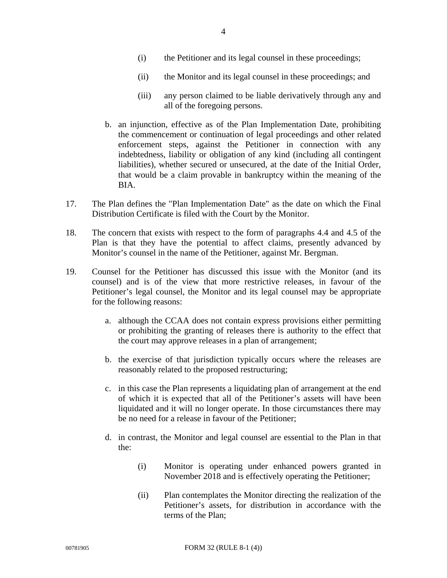- (i) the Petitioner and its legal counsel in these proceedings;
- (ii) the Monitor and its legal counsel in these proceedings; and
- (iii) any person claimed to be liable derivatively through any and all of the foregoing persons.
- b. an injunction, effective as of the Plan Implementation Date, prohibiting the commencement or continuation of legal proceedings and other related enforcement steps, against the Petitioner in connection with any indebtedness, liability or obligation of any kind (including all contingent liabilities), whether secured or unsecured, at the date of the Initial Order, that would be a claim provable in bankruptcy within the meaning of the BIA.
- 17. The Plan defines the "Plan Implementation Date" as the date on which the Final Distribution Certificate is filed with the Court by the Monitor.
- 18. The concern that exists with respect to the form of paragraphs 4.4 and 4.5 of the Plan is that they have the potential to affect claims, presently advanced by Monitor's counsel in the name of the Petitioner, against Mr. Bergman.
- 19. Counsel for the Petitioner has discussed this issue with the Monitor (and its counsel) and is of the view that more restrictive releases, in favour of the Petitioner's legal counsel, the Monitor and its legal counsel may be appropriate for the following reasons:
	- a. although the CCAA does not contain express provisions either permitting or prohibiting the granting of releases there is authority to the effect that the court may approve releases in a plan of arrangement;
	- b. the exercise of that jurisdiction typically occurs where the releases are reasonably related to the proposed restructuring;
	- c. in this case the Plan represents a liquidating plan of arrangement at the end of which it is expected that all of the Petitioner's assets will have been liquidated and it will no longer operate. In those circumstances there may be no need for a release in favour of the Petitioner;
	- d. in contrast, the Monitor and legal counsel are essential to the Plan in that the:
		- (i) Monitor is operating under enhanced powers granted in November 2018 and is effectively operating the Petitioner;
		- (ii) Plan contemplates the Monitor directing the realization of the Petitioner's assets, for distribution in accordance with the terms of the Plan;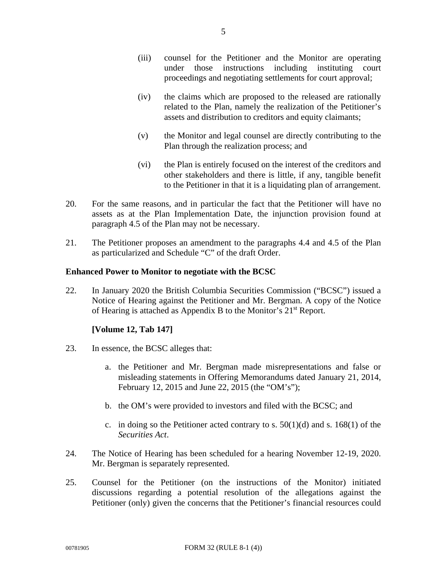- (iii) counsel for the Petitioner and the Monitor are operating under those instructions including instituting court proceedings and negotiating settlements for court approval;
- (iv) the claims which are proposed to the released are rationally related to the Plan, namely the realization of the Petitioner's assets and distribution to creditors and equity claimants;
- (v) the Monitor and legal counsel are directly contributing to the Plan through the realization process; and
- (vi) the Plan is entirely focused on the interest of the creditors and other stakeholders and there is little, if any, tangible benefit to the Petitioner in that it is a liquidating plan of arrangement.
- 20. For the same reasons, and in particular the fact that the Petitioner will have no assets as at the Plan Implementation Date, the injunction provision found at paragraph 4.5 of the Plan may not be necessary.
- 21. The Petitioner proposes an amendment to the paragraphs 4.4 and 4.5 of the Plan as particularized and Schedule "C" of the draft Order.

# **Enhanced Power to Monitor to negotiate with the BCSC**

22. In January 2020 the British Columbia Securities Commission ("BCSC") issued a Notice of Hearing against the Petitioner and Mr. Bergman. A copy of the Notice of Hearing is attached as Appendix B to the Monitor's 21st Report.

# **[Volume 12, Tab 147]**

- 23. In essence, the BCSC alleges that:
	- a. the Petitioner and Mr. Bergman made misrepresentations and false or misleading statements in Offering Memorandums dated January 21, 2014, February 12, 2015 and June 22, 2015 (the "OM's");
	- b. the OM's were provided to investors and filed with the BCSC; and
	- c. in doing so the Petitioner acted contrary to s.  $50(1)(d)$  and s.  $168(1)$  of the *Securities Act*.
- 24. The Notice of Hearing has been scheduled for a hearing November 12-19, 2020. Mr. Bergman is separately represented.
- 25. Counsel for the Petitioner (on the instructions of the Monitor) initiated discussions regarding a potential resolution of the allegations against the Petitioner (only) given the concerns that the Petitioner's financial resources could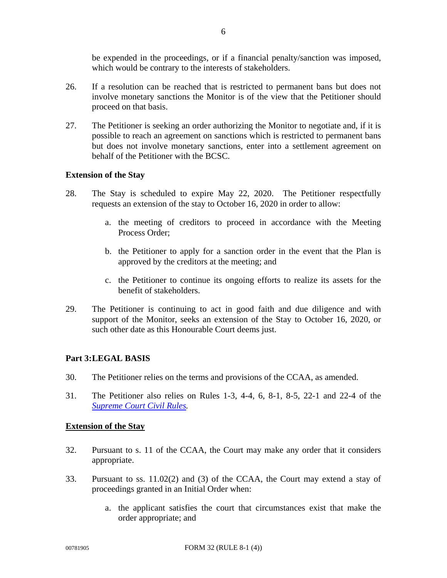be expended in the proceedings, or if a financial penalty/sanction was imposed, which would be contrary to the interests of stakeholders.

- 26. If a resolution can be reached that is restricted to permanent bans but does not involve monetary sanctions the Monitor is of the view that the Petitioner should proceed on that basis.
- 27. The Petitioner is seeking an order authorizing the Monitor to negotiate and, if it is possible to reach an agreement on sanctions which is restricted to permanent bans but does not involve monetary sanctions, enter into a settlement agreement on behalf of the Petitioner with the BCSC.

#### **Extension of the Stay**

- 28. The Stay is scheduled to expire May 22, 2020. The Petitioner respectfully requests an extension of the stay to October 16, 2020 in order to allow:
	- a. the meeting of creditors to proceed in accordance with the Meeting Process Order;
	- b. the Petitioner to apply for a sanction order in the event that the Plan is approved by the creditors at the meeting; and
	- c. the Petitioner to continue its ongoing efforts to realize its assets for the benefit of stakeholders.
- 29. The Petitioner is continuing to act in good faith and due diligence and with support of the Monitor, seeks an extension of the Stay to October 16, 2020, or such other date as this Honourable Court deems just.

## **Part 3: LEGAL BASIS**

- 30. The Petitioner relies on the terms and provisions of the CCAA, as amended.
- 31. The Petitioner also relies on Rules 1-3, 4-4, 6, 8-1, 8-5, 22-1 and 22-4 of the *Supreme Court Civil Rules.*

#### **Extension of the Stay**

- 32. Pursuant to s. 11 of the CCAA, the Court may make any order that it considers appropriate.
- 33. Pursuant to ss. 11.02(2) and (3) of the CCAA, the Court may extend a stay of proceedings granted in an Initial Order when:
	- a. the applicant satisfies the court that circumstances exist that make the order appropriate; and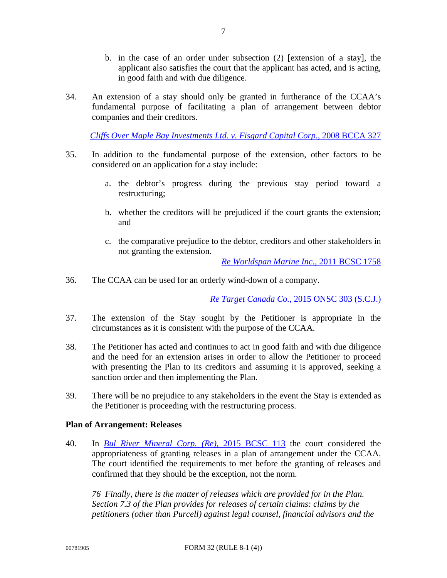- b. in the case of an order under subsection (2) [extension of a stay], the applicant also satisfies the court that the applicant has acted, and is acting, in good faith and with due diligence.
- 34. An extension of a stay should only be granted in furtherance of the CCAA's fundamental purpose of facilitating a plan of arrangement between debtor companies and their creditors.

*Cliffs Over Maple Bay Investments Ltd. v. Fisgard Capital Corp.,* 2008 BCCA 327

- 35. In addition to the fundamental purpose of the extension, other factors to be considered on an application for a stay include:
	- a. the debtor's progress during the previous stay period toward a restructuring;
	- b. whether the creditors will be prejudiced if the court grants the extension; and
	- c. the comparative prejudice to the debtor, creditors and other stakeholders in not granting the extension.

*Re Worldspan Marine Inc.,* 2011 BCSC 1758

36. The CCAA can be used for an orderly wind-down of a company.

*Re Target Canada Co.,* 2015 ONSC 303 (S.C.J.)

- 37. The extension of the Stay sought by the Petitioner is appropriate in the circumstances as it is consistent with the purpose of the CCAA.
- 38. The Petitioner has acted and continues to act in good faith and with due diligence and the need for an extension arises in order to allow the Petitioner to proceed with presenting the Plan to its creditors and assuming it is approved, seeking a sanction order and then implementing the Plan.
- 39. There will be no prejudice to any stakeholders in the event the Stay is extended as the Petitioner is proceeding with the restructuring process.

## **Plan of Arrangement: Releases**

40. In *Bul River Mineral Corp. (Re)*, 2015 BCSC 113 the court considered the appropriateness of granting releases in a plan of arrangement under the CCAA. The court identified the requirements to met before the granting of releases and confirmed that they should be the exception, not the norm.

*76 Finally, there is the matter of releases which are provided for in the Plan. Section 7.3 of the Plan provides for releases of certain claims: claims by the petitioners (other than Purcell) against legal counsel, financial advisors and the*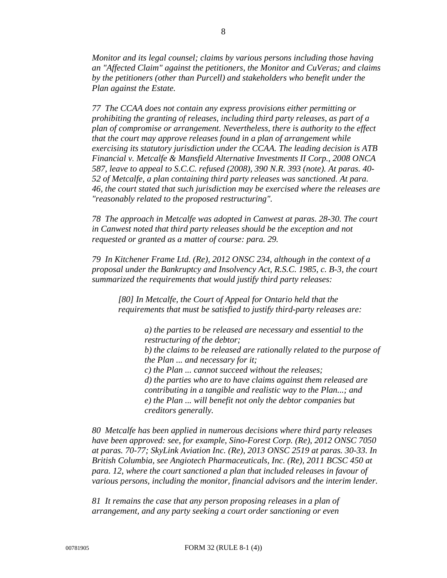*Monitor and its legal counsel; claims by various persons including those having an "Affected Claim" against the petitioners, the Monitor and CuVeras; and claims by the petitioners (other than Purcell) and stakeholders who benefit under the Plan against the Estate.*

*77 The CCAA does not contain any express provisions either permitting or prohibiting the granting of releases, including third party releases, as part of a plan of compromise or arrangement. Nevertheless, there is authority to the effect that the court may approve releases found in a plan of arrangement while exercising its statutory jurisdiction under the CCAA. The leading decision is ATB Financial v. Metcalfe & Mansfield Alternative Investments II Corp., 2008 ONCA 587, leave to appeal to S.C.C. refused (2008), 390 N.R. 393 (note). At paras. 40- 52 of Metcalfe, a plan containing third party releases was sanctioned. At para. 46, the court stated that such jurisdiction may be exercised where the releases are "reasonably related to the proposed restructuring".* 

*78 The approach in Metcalfe was adopted in Canwest at paras. 28-30. The court in Canwest noted that third party releases should be the exception and not requested or granted as a matter of course: para. 29.* 

*79 In Kitchener Frame Ltd. (Re), 2012 ONSC 234, although in the context of a proposal under the Bankruptcy and Insolvency Act, R.S.C. 1985, c. B-3, the court summarized the requirements that would justify third party releases:* 

*[80] In Metcalfe, the Court of Appeal for Ontario held that the requirements that must be satisfied to justify third-party releases are:* 

> *a) the parties to be released are necessary and essential to the restructuring of the debtor; b) the claims to be released are rationally related to the purpose of the Plan ... and necessary for it; c) the Plan ... cannot succeed without the releases; d) the parties who are to have claims against them released are contributing in a tangible and realistic way to the Plan...; and e) the Plan ... will benefit not only the debtor companies but creditors generally.*

*80 Metcalfe has been applied in numerous decisions where third party releases have been approved: see, for example, Sino-Forest Corp. (Re), 2012 ONSC 7050 at paras. 70-77; SkyLink Aviation Inc. (Re), 2013 ONSC 2519 at paras. 30-33. In British Columbia, see Angiotech Pharmaceuticals, Inc. (Re), 2011 BCSC 450 at para. 12, where the court sanctioned a plan that included releases in favour of various persons, including the monitor, financial advisors and the interim lender.* 

*81 It remains the case that any person proposing releases in a plan of arrangement, and any party seeking a court order sanctioning or even*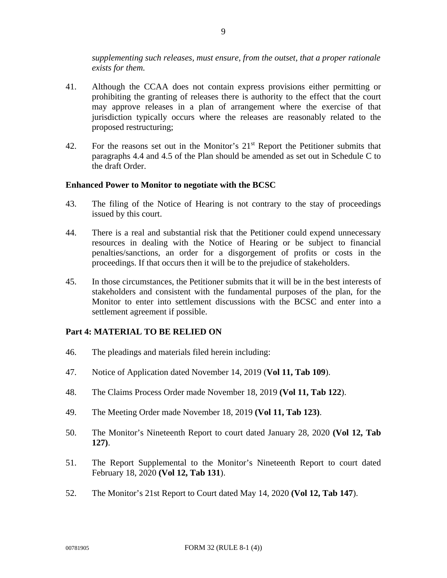*supplementing such releases, must ensure, from the outset, that a proper rationale exists for them.* 

- 41. Although the CCAA does not contain express provisions either permitting or prohibiting the granting of releases there is authority to the effect that the court may approve releases in a plan of arrangement where the exercise of that jurisdiction typically occurs where the releases are reasonably related to the proposed restructuring;
- 42. For the reasons set out in the Monitor's  $21<sup>st</sup>$  Report the Petitioner submits that paragraphs 4.4 and 4.5 of the Plan should be amended as set out in Schedule C to the draft Order.

#### **Enhanced Power to Monitor to negotiate with the BCSC**

- 43. The filing of the Notice of Hearing is not contrary to the stay of proceedings issued by this court.
- 44. There is a real and substantial risk that the Petitioner could expend unnecessary resources in dealing with the Notice of Hearing or be subject to financial penalties/sanctions, an order for a disgorgement of profits or costs in the proceedings. If that occurs then it will be to the prejudice of stakeholders.
- 45. In those circumstances, the Petitioner submits that it will be in the best interests of stakeholders and consistent with the fundamental purposes of the plan, for the Monitor to enter into settlement discussions with the BCSC and enter into a settlement agreement if possible.

## **Part 4: MATERIAL TO BE RELIED ON**

- 46. The pleadings and materials filed herein including:
- 47. Notice of Application dated November 14, 2019 (**Vol 11, Tab 109**).
- 48. The Claims Process Order made November 18, 2019 **(Vol 11, Tab 122**).
- 49. The Meeting Order made November 18, 2019 **(Vol 11, Tab 123)**.
- 50. The Monitor's Nineteenth Report to court dated January 28, 2020 **(Vol 12, Tab 127)**.
- 51. The Report Supplemental to the Monitor's Nineteenth Report to court dated February 18, 2020 **(Vol 12, Tab 131**).
- 52. The Monitor's 21st Report to Court dated May 14, 2020 **(Vol 12, Tab 147**).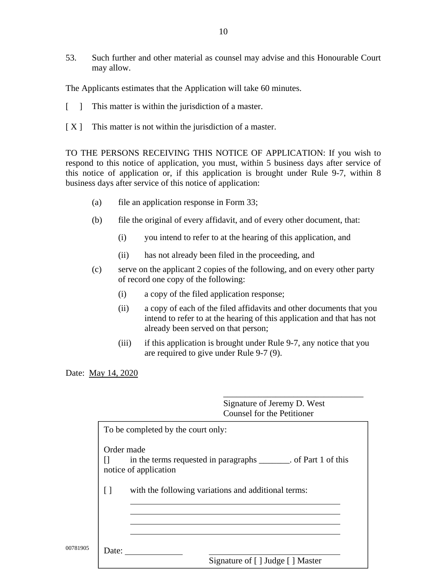53. Such further and other material as counsel may advise and this Honourable Court may allow.

The Applicants estimates that the Application will take 60 minutes.

- [ ] This matter is within the jurisdiction of a master.
- [X] This matter is not within the jurisdiction of a master.

TO THE PERSONS RECEIVING THIS NOTICE OF APPLICATION: If you wish to respond to this notice of application, you must, within 5 business days after service of this notice of application or, if this application is brought under Rule 9-7, within 8 business days after service of this notice of application:

- (a) file an application response in Form 33;
- (b) file the original of every affidavit, and of every other document, that:
	- (i) you intend to refer to at the hearing of this application, and
	- (ii) has not already been filed in the proceeding, and
- (c) serve on the applicant 2 copies of the following, and on every other party of record one copy of the following:
	- (i) a copy of the filed application response;
	- (ii) a copy of each of the filed affidavits and other documents that you intend to refer to at the hearing of this application and that has not already been served on that person;
	- (iii) if this application is brought under Rule 9-7, any notice that you are required to give under Rule 9-7 (9).

Date: May 14, 2020

Order made  $[$  in the terms requested in paragraphs  $\qquad$ . of Part 1 of this notice of application

 $\frac{1}{2}$  , and the contract of the contract of the contract of the contract of the contract of the contract of the contract of the contract of the contract of the contract of the contract of the contract of the contract

[ ] with the following variations and additional terms:

00781905 Date: 200781905 Date: 32 (Rue 300781905 Poster 3-1 (1)

Signature of [ ] Judge [ ] Master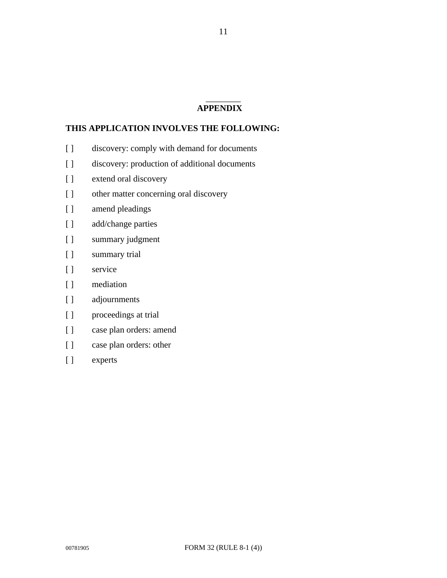#### $\overline{\phantom{a}}$   $\overline{\phantom{a}}$ **APPENDIX**

## **THIS APPLICATION INVOLVES THE FOLLOWING:**

- [ ] discovery: comply with demand for documents
- [ ] discovery: production of additional documents
- [ ] extend oral discovery
- [ ] other matter concerning oral discovery
- [ ] amend pleadings
- [ ] add/change parties
- [ ] summary judgment
- [ ] summary trial
- [ ] service
- [ ] mediation
- [ ] adjournments
- [ ] proceedings at trial
- [ ] case plan orders: amend
- [ ] case plan orders: other
- [ ] experts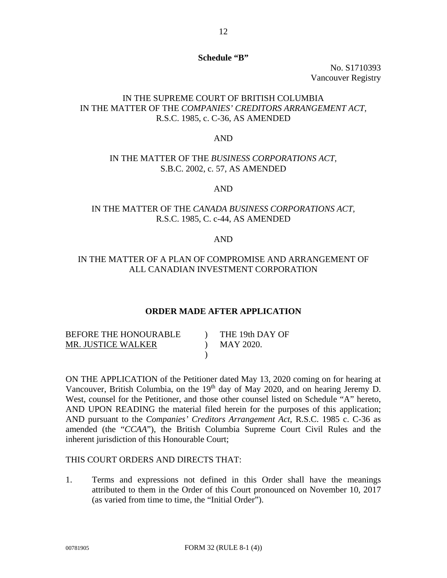#### **Schedule "B"**

No. S1710393 Vancouver Registry

## IN THE SUPREME COURT OF BRITISH COLUMBIA IN THE MATTER OF THE *COMPANIES' CREDITORS ARRANGEMENT ACT,*  R.S.C. 1985, c. C-36, AS AMENDED

#### AND

#### IN THE MATTER OF THE *BUSINESS CORPORATIONS ACT,*  S.B.C. 2002, c. 57, AS AMENDED

#### AND

# IN THE MATTER OF THE *CANADA BUSINESS CORPORATIONS ACT,*  R.S.C. 1985, C. c-44, AS AMENDED

#### AND

### IN THE MATTER OF A PLAN OF COMPROMISE AND ARRANGEMENT OF ALL CANADIAN INVESTMENT CORPORATION

#### **ORDER MADE AFTER APPLICATION**

| BEFORE THE HONOURABLE | THE 19th DAY OF |
|-----------------------|-----------------|
| MR. JUSTICE WALKER    | MAY 2020.       |
|                       |                 |

ON THE APPLICATION of the Petitioner dated May 13, 2020 coming on for hearing at Vancouver, British Columbia, on the 19<sup>th</sup> day of May 2020, and on hearing Jeremy D. West, counsel for the Petitioner, and those other counsel listed on Schedule "A" hereto, AND UPON READING the material filed herein for the purposes of this application; AND pursuant to the *Companies' Creditors Arrangement Act*, R.S.C. 1985 c. C-36 as amended (the "*CCAA*"), the British Columbia Supreme Court Civil Rules and the inherent jurisdiction of this Honourable Court;

## THIS COURT ORDERS AND DIRECTS THAT:

1. Terms and expressions not defined in this Order shall have the meanings attributed to them in the Order of this Court pronounced on November 10, 2017 (as varied from time to time, the "Initial Order").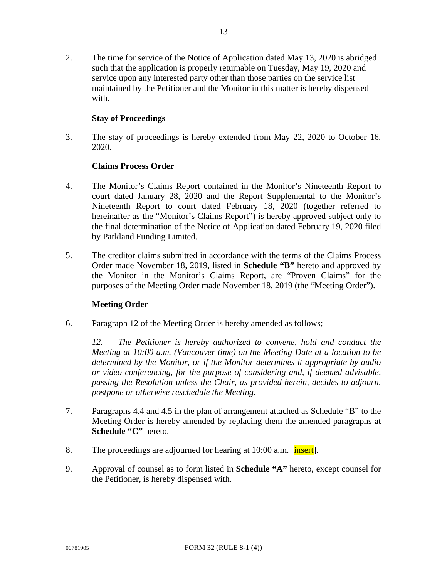2. The time for service of the Notice of Application dated May 13, 2020 is abridged such that the application is properly returnable on Tuesday, May 19, 2020 and service upon any interested party other than those parties on the service list maintained by the Petitioner and the Monitor in this matter is hereby dispensed with.

## **Stay of Proceedings**

3. The stay of proceedings is hereby extended from May 22, 2020 to October 16, 2020.

## **Claims Process Order**

- 4. The Monitor's Claims Report contained in the Monitor's Nineteenth Report to court dated January 28, 2020 and the Report Supplemental to the Monitor's Nineteenth Report to court dated February 18, 2020 (together referred to hereinafter as the "Monitor's Claims Report") is hereby approved subject only to the final determination of the Notice of Application dated February 19, 2020 filed by Parkland Funding Limited.
- 5. The creditor claims submitted in accordance with the terms of the Claims Process Order made November 18, 2019, listed in **Schedule "B"** hereto and approved by the Monitor in the Monitor's Claims Report, are "Proven Claims" for the purposes of the Meeting Order made November 18, 2019 (the "Meeting Order").

## **Meeting Order**

6. Paragraph 12 of the Meeting Order is hereby amended as follows;

*12. The Petitioner is hereby authorized to convene, hold and conduct the Meeting at 10:00 a.m. (Vancouver time) on the Meeting Date at a location to be determined by the Monitor, or if the Monitor determines it appropriate by audio or video conferencing, for the purpose of considering and, if deemed advisable, passing the Resolution unless the Chair, as provided herein, decides to adjourn, postpone or otherwise reschedule the Meeting.* 

- 7. Paragraphs 4.4 and 4.5 in the plan of arrangement attached as Schedule "B" to the Meeting Order is hereby amended by replacing them the amended paragraphs at **Schedule "C"** hereto.
- 8. The proceedings are adjourned for hearing at 10:00 a.m. [insert].
- 9. Approval of counsel as to form listed in **Schedule "A"** hereto, except counsel for the Petitioner, is hereby dispensed with.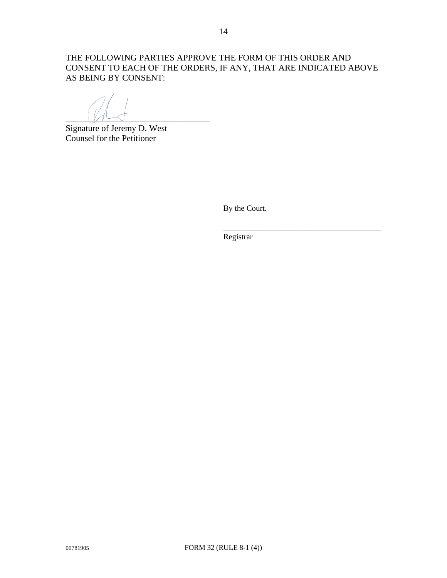THE FOLLOWING PARTIES APPROVE THE FORM OF THIS ORDER AND CONSENT TO EACH OF THE ORDERS, IF ANY, THAT ARE INDICATED ABOVE AS BEING BY CONSENT:

 $\Box$ 

Signature of Jeremy D. West Counsel for the Petitioner

By the Court.

Registrar

 $\overline{\phantom{a}}$  , which is a set of the set of the set of the set of the set of the set of the set of the set of the set of the set of the set of the set of the set of the set of the set of the set of the set of the set of th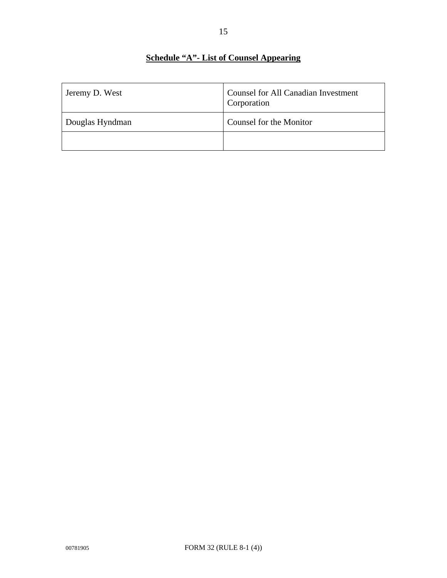# **Schedule "A"- List of Counsel Appearing**

| Jeremy D. West  | <b>Counsel for All Canadian Investment</b><br>Corporation |
|-----------------|-----------------------------------------------------------|
| Douglas Hyndman | Counsel for the Monitor                                   |
|                 |                                                           |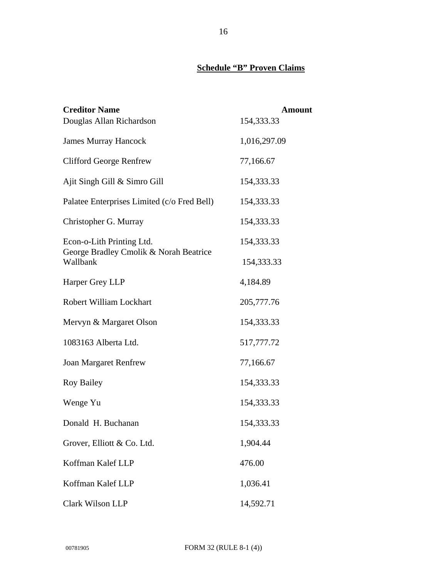# **Schedule "B" Proven Claims**

| <b>Creditor Name</b>                               | <b>Amount</b> |
|----------------------------------------------------|---------------|
| Douglas Allan Richardson                           | 154,333.33    |
| <b>James Murray Hancock</b>                        | 1,016,297.09  |
| <b>Clifford George Renfrew</b>                     | 77,166.67     |
| Ajit Singh Gill & Simro Gill                       | 154,333.33    |
| Palatee Enterprises Limited (c/o Fred Bell)        | 154,333.33    |
| Christopher G. Murray                              | 154,333.33    |
| Econ-o-Lith Printing Ltd.                          | 154,333.33    |
| George Bradley Cmolik & Norah Beatrice<br>Wallbank | 154,333.33    |
| Harper Grey LLP                                    | 4,184.89      |
| Robert William Lockhart                            | 205,777.76    |
| Mervyn & Margaret Olson                            | 154,333.33    |
| 1083163 Alberta Ltd.                               | 517,777.72    |
| <b>Joan Margaret Renfrew</b>                       | 77,166.67     |
| <b>Roy Bailey</b>                                  | 154,333.33    |
| Wenge Yu                                           | 154,333.33    |
| Donald H. Buchanan                                 | 154,333.33    |
| Grover, Elliott & Co. Ltd.                         | 1,904.44      |
| Koffman Kalef LLP                                  | 476.00        |
| Koffman Kalef LLP                                  | 1,036.41      |
| Clark Wilson LLP                                   | 14,592.71     |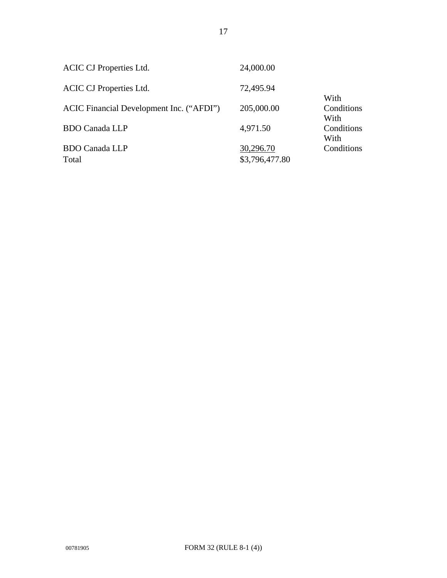| <b>ACIC CJ Properties Ltd.</b>           | 24,000.00      |                    |
|------------------------------------------|----------------|--------------------|
| <b>ACIC CJ Properties Ltd.</b>           | 72,495.94      | With               |
| ACIC Financial Development Inc. ("AFDI") | 205,000.00     | Conditions<br>With |
| <b>BDO Canada LLP</b>                    | 4,971.50       | Conditions<br>With |
| <b>BDO Canada LLP</b>                    | 30,296.70      | Conditions         |
| Total                                    | \$3,796,477.80 |                    |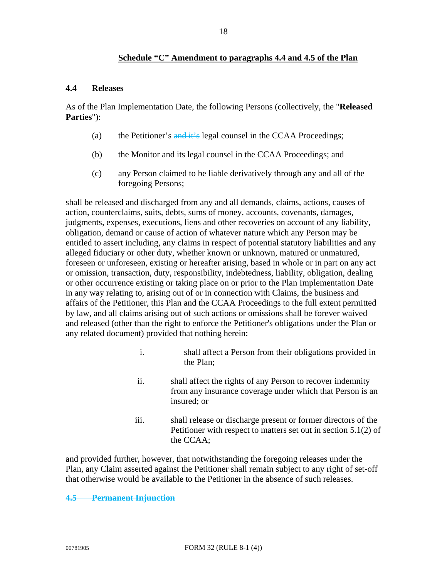## **Schedule "C" Amendment to paragraphs 4.4 and 4.5 of the Plan**

#### **4.4 Releases**

As of the Plan Implementation Date, the following Persons (collectively, the "**Released Parties**"):

- (a) the Petitioner's and it's legal counsel in the CCAA Proceedings;
- (b) the Monitor and its legal counsel in the CCAA Proceedings; and
- (c) any Person claimed to be liable derivatively through any and all of the foregoing Persons;

shall be released and discharged from any and all demands, claims, actions, causes of action, counterclaims, suits, debts, sums of money, accounts, covenants, damages, judgments, expenses, executions, liens and other recoveries on account of any liability, obligation, demand or cause of action of whatever nature which any Person may be entitled to assert including, any claims in respect of potential statutory liabilities and any alleged fiduciary or other duty, whether known or unknown, matured or unmatured, foreseen or unforeseen, existing or hereafter arising, based in whole or in part on any act or omission, transaction, duty, responsibility, indebtedness, liability, obligation, dealing or other occurrence existing or taking place on or prior to the Plan Implementation Date in any way relating to, arising out of or in connection with Claims, the business and affairs of the Petitioner, this Plan and the CCAA Proceedings to the full extent permitted by law, and all claims arising out of such actions or omissions shall be forever waived and released (other than the right to enforce the Petitioner's obligations under the Plan or any related document) provided that nothing herein:

- i. shall affect a Person from their obligations provided in the Plan;
- ii. shall affect the rights of any Person to recover indemnity from any insurance coverage under which that Person is an insured; or
- iii. shall release or discharge present or former directors of the Petitioner with respect to matters set out in section 5.1(2) of the CCAA;

and provided further, however, that notwithstanding the foregoing releases under the Plan, any Claim asserted against the Petitioner shall remain subject to any right of set-off that otherwise would be available to the Petitioner in the absence of such releases.

#### **4.5 Permanent Injunction**